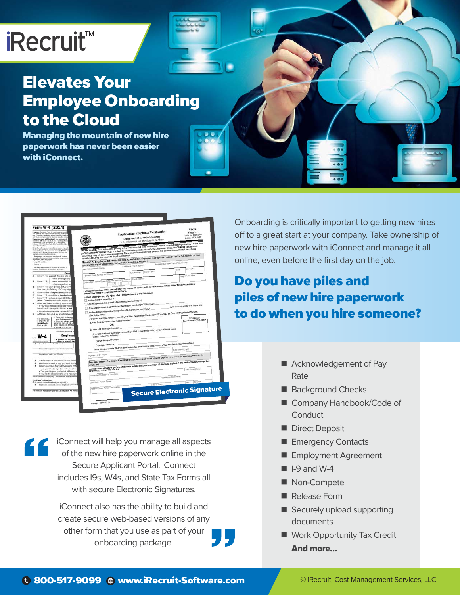# iRecruit™

## Elevates Your Employee Onboarding to the Cloud

Managing the mountain of new hire paperwork has never been easier with iConnect.

| Form W-4 (2014)<br>Purpose, Complete Frank M-4 to Rull pain empty<br>can withhold the correct indeed moneta for free<br>Colorador completting a lone Fores 19-4 mach-<br>and often your conversal or bispecial whether char-<br>Examples from additionality if you are correct.<br>Complete and from $1,2,3,4,$ and $7$ and eggs the<br>$\pm$ to collision of Product manipular for 2014 regions<br>$12$ , and $12$ and $12$<br>support of all the state of $2000$ |                                                                                                                                                                                                                                                                                                                                                                                                      |                         | <b>Employment Eligibility Verification</b><br>Department of Homeland Security<br>U.S. Citizenship and Immigration Services |                        | <b>USCIS</b><br>Form 1-9<br><b>CMS No. 1615-0047</b><br>Expires 03/31/2016 |
|--------------------------------------------------------------------------------------------------------------------------------------------------------------------------------------------------------------------------------------------------------------------------------------------------------------------------------------------------------------------------------------------------------------------------------------------------------------------|------------------------------------------------------------------------------------------------------------------------------------------------------------------------------------------------------------------------------------------------------------------------------------------------------------------------------------------------------------------------------------------------------|-------------------------|----------------------------------------------------------------------------------------------------------------------------|------------------------|----------------------------------------------------------------------------|
| and Extensive Fax<br>New Year for presented them present them<br>on his carbon but noture, you cannot clean excerptly<br>from withholding if your income received: \$1,000 an                                                                                                                                                                                                                                                                                      | START HERE. Read instructions carefully before campining this form. The instructions must be evaluate during completion of this for<br>ANTI-DISCIDIBIBATION WOTKE: It is ilegal to decorately against work authorized individuals. Employees CANNOT specify which<br>decomental they will accept from an employee. The reluxatio fore an individual because the documentation presented has a future |                         |                                                                                                                            |                        |                                                                            |
| manps, interest and dealership<br>Emergetimes. An employee may be able to classe<br>an-employe from articled day over it the seminates as a<br>dependent, if the seminars<br>who age \$5 or oking.                                                                                                                                                                                                                                                                 | Section 1. Employee Information and Attestation (Employees mult conside and age Section 1 of Form 18 no later<br>expiration data may also constitute illegal discrimination.                                                                                                                                                                                                                         |                         |                                                                                                                            |                        |                                                                            |
| whiching in<br>. Will claim adjustments to accome; but credits; or<br>durational divelocitiesms, on him or here has ordered                                                                                                                                                                                                                                                                                                                                        | than the first day of employment, but not before accepting a job offer.)<br>Last Name (Family Name)                                                                                                                                                                                                                                                                                                  | First Name (Given Name) | Mode Inba Other Names Used of any)                                                                                         |                        | Zo Com                                                                     |
| Persi                                                                                                                                                                                                                                                                                                                                                                                                                                                              | Address (Steam Number and Nume)                                                                                                                                                                                                                                                                                                                                                                      | Apt humber              | City of Town                                                                                                               | <b>State</b>           |                                                                            |
| Enter '1" for yourself if no one else a<br>. You are single and                                                                                                                                                                                                                                                                                                                                                                                                    |                                                                                                                                                                                                                                                                                                                                                                                                      |                         |                                                                                                                            |                        | <b>MAGNUM TEACHER</b>                                                      |
| Enter 111 #<br>. You are married, fur<br>. Your wages from a v                                                                                                                                                                                                                                                                                                                                                                                                     | Oak of Beth (rentablyste) (U.S. Social Security Familier   E-mail Address<br>I am aware that federal law provides for imprisonment and/or fines for fake statements or use of false documents in                                                                                                                                                                                                     |                         |                                                                                                                            |                        |                                                                            |
| have three to six eigible children or left<br>. If your total income will be between \$65,000                                                                                                                                                                                                                                                                                                                                                                      | A lawful permanent resident (Alian Registration Numbert/SCIS Number)<br>An alien authorized to senit until (expiration date, if applicable, men/diliyyyy)                                                                                                                                                                                                                                            |                         |                                                                                                                            |                        |                                                                            |
| Add lines A through G and enter total here. If<br>н<br>. If you plus to itumize<br>For accuracy<br>and Adamstments Wi<br>complete all<br>+ if you are single and<br>worksheets<br>samings from all jobs at<br>svoid having too littly tax<br>that apply.                                                                                                                                                                                                           | For allens euthorized to vonk, provide your Allen Registration Number/USC/S Number OB Form I-B4 Admission Number;<br>1. Alien Registration Number 1/SCIS Number<br>OR                                                                                                                                                                                                                                |                         |                                                                                                                            |                        | <b>1-D Barcode</b><br>De Net Write in This Space                           |
| . If meeting of the above<br>Separate here and g                                                                                                                                                                                                                                                                                                                                                                                                                   | 2. Form 1-54 Admission Number                                                                                                                                                                                                                                                                                                                                                                        |                         |                                                                                                                            |                        |                                                                            |
| Employee<br>W-4                                                                                                                                                                                                                                                                                                                                                                                                                                                    | If you obtained your admission number from C&P in comedian with your amival in the United<br>States, include the following:                                                                                                                                                                                                                                                                          |                         |                                                                                                                            |                        |                                                                            |
| > Whether you are will<br>subject to review by the                                                                                                                                                                                                                                                                                                                                                                                                                 | Foreign Passport Number                                                                                                                                                                                                                                                                                                                                                                              |                         |                                                                                                                            |                        |                                                                            |
| or and mightin makes<br><b>Coup Brod coup</b>                                                                                                                                                                                                                                                                                                                                                                                                                      |                                                                                                                                                                                                                                                                                                                                                                                                      |                         |                                                                                                                            |                        |                                                                            |
| Home address ingeless and dress or rand radial                                                                                                                                                                                                                                                                                                                                                                                                                     | Some elens may write "NIA" on the Foreign Passport Number and Country of Issuance Seids. (See instructions)                                                                                                                                                                                                                                                                                          |                         |                                                                                                                            |                        |                                                                            |
| City in lines, chile, and J'B' under                                                                                                                                                                                                                                                                                                                                                                                                                               |                                                                                                                                                                                                                                                                                                                                                                                                      |                         |                                                                                                                            |                        |                                                                            |
| s<br>Total number of allowances you are daimit<br>٠<br>Additional amount, if any, you want withhel<br>$\mathcal{F}$                                                                                                                                                                                                                                                                                                                                                | Preparer and/or Translator Centification (To be completed and signed if Section 1 is papered by a person diher than the                                                                                                                                                                                                                                                                              |                         |                                                                                                                            |                        |                                                                            |
| I claim examption from withholding for 201-<br>. List year I had a right to a refund of all fer<br>. This year I expect a refund of all federal in                                                                                                                                                                                                                                                                                                                 | I attent, under perceity of perjury, that I have assisted in the completion of this form and that to the beet of my boostedge the<br>information is true and correct.                                                                                                                                                                                                                                |                         |                                                                                                                            |                        |                                                                            |
| If you meet both conditions, with "Exempt"<br>Under penalties of perjury, I declare that I have exam-                                                                                                                                                                                                                                                                                                                                                              | Signature of Preparar or Titenstator                                                                                                                                                                                                                                                                                                                                                                 |                         |                                                                                                                            | First Name (Guys Name) |                                                                            |
| Employee's signature<br>(This form is not valid unless you sign it.) a<br>Ŧ<br>Engineer's name and address Engineer, Complete 9                                                                                                                                                                                                                                                                                                                                    | ast Name (Family Name)                                                                                                                                                                                                                                                                                                                                                                               |                         | <b>SON or Town</b>                                                                                                         |                        | Ze Code<br>taate                                                           |
| For Privacy Act and Paperwork Reduction Act Note                                                                                                                                                                                                                                                                                                                                                                                                                   | Assess (Steel Number and Name)                                                                                                                                                                                                                                                                                                                                                                       |                         | <b>Secure Electronic Signature</b>                                                                                         |                        |                                                                            |

iConnect will help you manage all aspects of the new hire paperwork online in the Secure Applicant Portal. iConnect includes I9s, W4s, and State Tax Forms all with secure Electronic Signatures.

iConnect also has the ability to build and create secure web-based versions of any other form that you use as part of your onboarding package.

Onboarding is critically important to getting new hires off to a great start at your company. Take ownership of new hire paperwork with iConnect and manage it all online, even before the first day on the job.

## Do you have piles and piles of new hire paperwork to do when you hire someone?

- Acknowledgement of Pay Rate
- Background Checks
- Company Handbook/Code of **Conduct**
- Direct Deposit
- **Emergency Contacts**
- **Employment Agreement**
- $\blacksquare$  I-9 and W-4
- Non-Compete
- Release Form
- Securely upload supporting documents
- Work Opportunity Tax Credit And more…